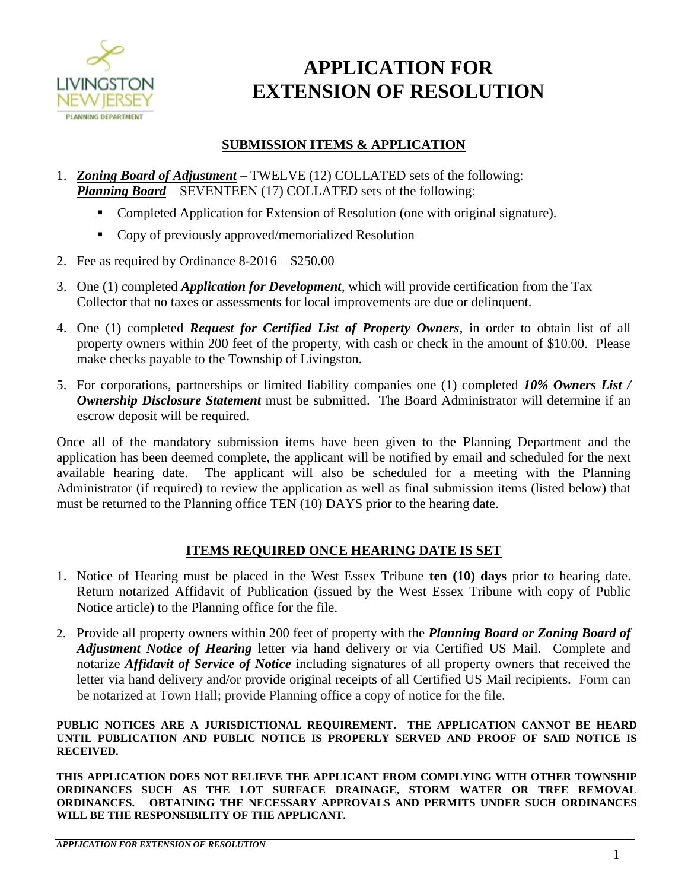

## **APPLICATION FOR EXTENSION OF RESOLUTION**

## **SUBMISSION ITEMS & APPLICATION**

- 1. *Zoning Board of Adjustment* TWELVE (12) COLLATED sets of the following: *Planning Board* – SEVENTEEN (17) COLLATED sets of the following:
	- Completed Application for Extension of Resolution (one with original signature).
	- **Copy of previously approved/memorialized Resolution**
- 2. Fee as required by Ordinance 8-2016 \$250.00
- 3. One (1) completed *Application for Development*, which will provide certification from the Tax Collector that no taxes or assessments for local improvements are due or delinquent.
- 4. One (1) completed *Request for Certified List of Property Owners*, in order to obtain list of all property owners within 200 feet of the property, with cash or check in the amount of \$10.00. Please make checks payable to the Township of Livingston.
- 5. For corporations, partnerships or limited liability companies one (1) completed *10% Owners List / Ownership Disclosure Statement* must be submitted. The Board Administrator will determine if an escrow deposit will be required.

Once all of the mandatory submission items have been given to the Planning Department and the application has been deemed complete, the applicant will be notified by email and scheduled for the next available hearing date. The applicant will also be scheduled for a meeting with the Planning Administrator (if required) to review the application as well as final submission items (listed below) that must be returned to the Planning office TEN (10) DAYS prior to the hearing date.

## **ITEMS REQUIRED ONCE HEARING DATE IS SET**

- 1. Notice of Hearing must be placed in the West Essex Tribune **ten (10) days** prior to hearing date. Return notarized Affidavit of Publication (issued by the West Essex Tribune with copy of Public Notice article) to the Planning office for the file.
- 2. Provide all property owners within 200 feet of property with the *Planning Board or Zoning Board of Adjustment Notice of Hearing* letter via hand delivery or via Certified US Mail. Complete and notarize *Affidavit of Service of Notice* including signatures of all property owners that received the letter via hand delivery and/or provide original receipts of all Certified US Mail recipients. Form can be notarized at Town Hall; provide Planning office a copy of notice for the file.

**PUBLIC NOTICES ARE A JURISDICTIONAL REQUIREMENT. THE APPLICATION CANNOT BE HEARD UNTIL PUBLICATION AND PUBLIC NOTICE IS PROPERLY SERVED AND PROOF OF SAID NOTICE IS RECEIVED.** 

**THIS APPLICATION DOES NOT RELIEVE THE APPLICANT FROM COMPLYING WITH OTHER TOWNSHIP ORDINANCES SUCH AS THE LOT SURFACE DRAINAGE, STORM WATER OR TREE REMOVAL ORDINANCES. OBTAINING THE NECESSARY APPROVALS AND PERMITS UNDER SUCH ORDINANCES WILL BE THE RESPONSIBILITY OF THE APPLICANT.**